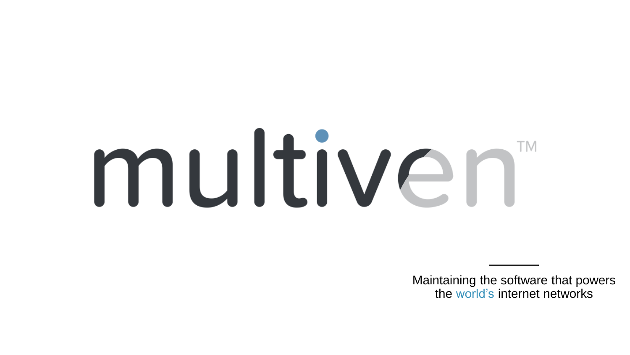# multiven

Maintaining the software that powers the world's internet networks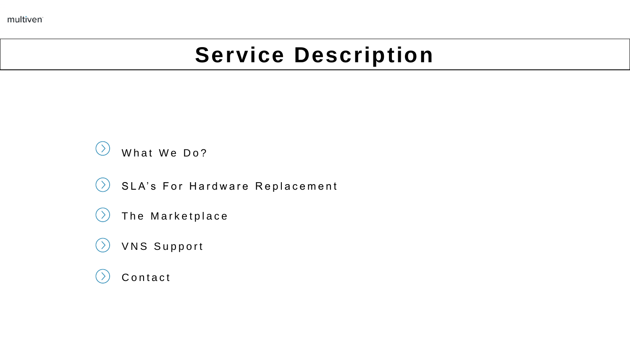multiven

# **Service Description**



- SLA's For Hardware Replacement  $(>)$
- The Marketplace
- VNS Support
- **Contact**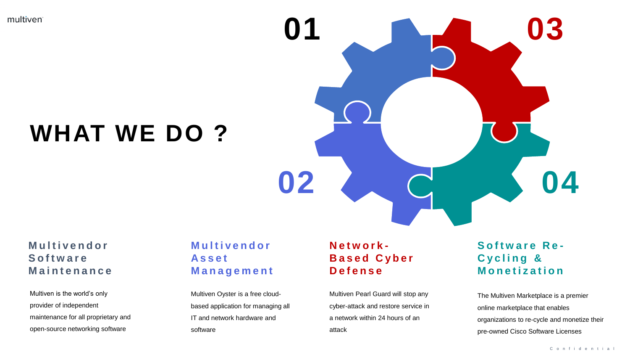multiven

# **WHAT WE DO ?**



### **M u l t i v e n d o r S o f t w a r e M a i n t e n a n c e**

Multiven is the world's only provider of independent maintenance for all proprietary and open-source networking software

# **M u l t i v e n d o r A s s e t M a n a g e m e n t**

Multiven Oyster is a free cloudbased application for managing all IT and network hardware and software

### **N e t w o r k - B a s e d C y b e r D e f e n s e**

Multiven Pearl Guard will stop any cyber-attack and restore service in a network within 24 hours of an attack

### **Software Re-C y c l i n g & M o n e t i z a t i o n**

The Multiven Marketplace is a premier online marketplace that enables organizations to re-cycle and monetize their pre-owned Cisco Software Licenses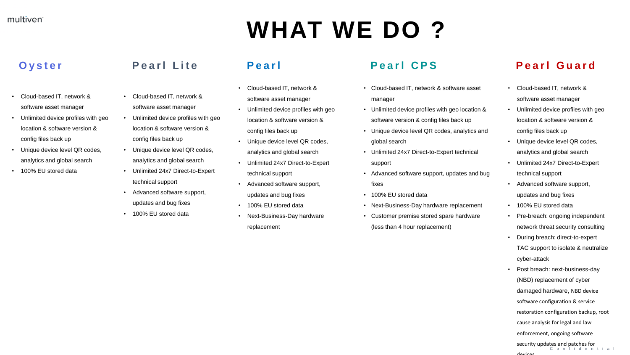# **WHAT WE DO ?**

# **O y s t e r**

- Cloud-based IT, network & software asset manager
- Unlimited device profiles with geo location & software version & config files back up
- Unique device level QR codes, analytics and global search
- 100% EU stored data

# **P e a r l L i t e**

- Cloud-based IT, network & software asset manager
- Unlimited device profiles with geo location & software version & config files back up
- Unique device level QR codes, analytics and global search
- Unlimited 24x7 Direct-to-Expert technical support
- Advanced software support, updates and bug fixes
- 100% EU stored data

- Cloud-based IT, network & software asset manager
- Unlimited device profiles with geo location & software version & config files back up
- Unique device level QR codes, analytics and global search
- Unlimited 24x7 Direct-to-Expert technical support
- Advanced software support, updates and bug fixes
- 100% EU stored data
- Next-Business-Day hardware replacement

# Pearl **Pearl CPS**

- Cloud-based IT, network & software asset manager
- Unlimited device profiles with geo location & software version & config files back up
- Unique device level QR codes, analytics and global search
- Unlimited 24x7 Direct-to-Expert technical support
- Advanced software support, updates and bug
- fixes
- 100% EU stored data
- Next-Business-Day hardware replacement
- Customer premise stored spare hardware (less than 4 hour replacement)

# **P e a r l G u a r d**

- Cloud-based IT, network & software asset manager
- Unlimited device profiles with geo location & software version & config files back up
- Unique device level QR codes, analytics and global search
- Unlimited 24x7 Direct-to-Expert technical support
- Advanced software support, updates and bug fixes
- 100% EU stored data
- Pre-breach: ongoing independent network threat security consulting
- During breach: direct-to-expert TAC support to isolate & neutralize cyber-attack
- Post breach: next-business-day (NBD) replacement of cyber damaged hardware, NBD device software configuration & service restoration configuration backup, root cause analysis for legal and law enforcement, ongoing software security updates and patches for C o n f i d e n t i a l

devices.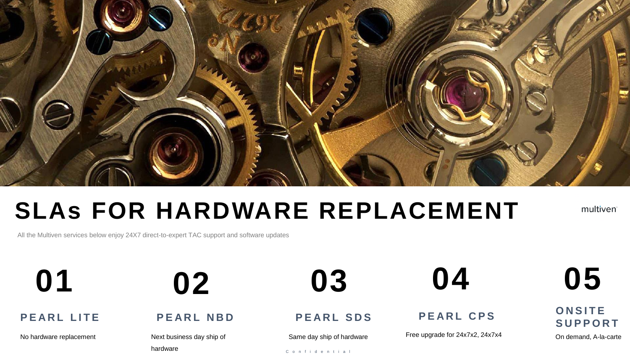

# **SLAs FOR HARDWARE REPLACEMENT**

multiven

All the Multiven services below enjoy 24X7 direct-to-expert TAC support and software updates

**P E A R L L I T E**

No hardware replacement

**01 02 03 04**

**P E A R L N B D**

Next business day ship of

hardware

**P E A R L S D S**

Same day ship of hardware

C o n f i d e n t i a l

### **P E A R L C P S**

Free upgrade for 24x7x2, 24x7x4

**05**

**O N S I T E S U P P O R T**

On demand, A-la-carte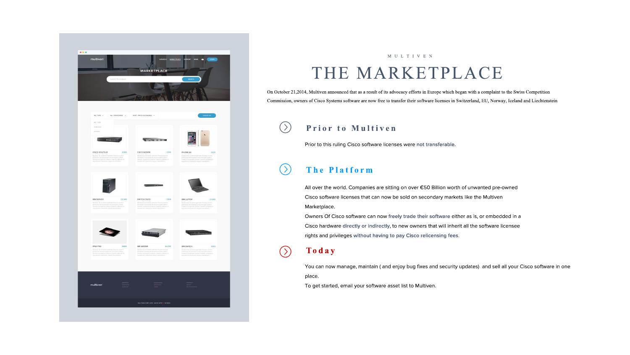

# MULTIVEN THE MARKETPLACE

On October 21,2014, Multiven announced that as a result of its advocacy efforts in Europe which began with a complaint to the Swiss Competition Commission, owners of Cisco Systems software are now free to transfer their software licenses in Switzerland, EU, Norway, Iceland and Liechtenstein

#### $( )$ Prior to Multiven

Prior to this ruling Cisco software licenses were not transferable.

#### $( )$ The Platform

All over the world. Companies are sitting on over €50 Billion worth of unwanted pre-owned Cisco software licenses that can now be sold on secondary markets like the Multiven Marketplace.

Owners Of Cisco software can now freely trade their software either as is, or embedded in a Cisco hardware directly or indirectly, to new owners that will inherit all the software licensee rights and privileges without having to pay Cisco relicensing fees.

### Today

 $(\Sigma)$ 

You can now manage, maintain (and enjoy bug fixes and security updates) and sell all your Cisco software in one place.

To get started, email your software asset list to Multiven.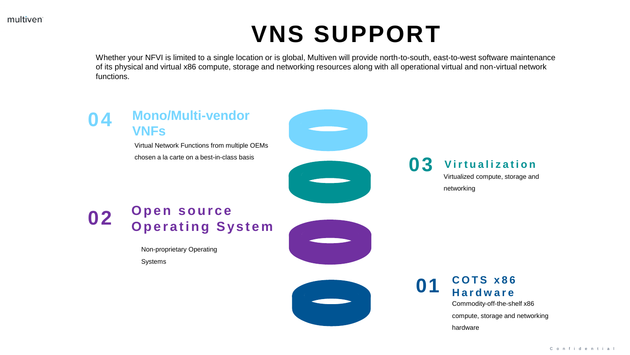# **VNS SUPPORT**

Whether your NFVI is limited to a single location or is global, Multiven will provide north-to-south, east-to-west software maintenance of its physical and virtual x86 compute, storage and networking resources along with all operational virtual and non-virtual network functions.